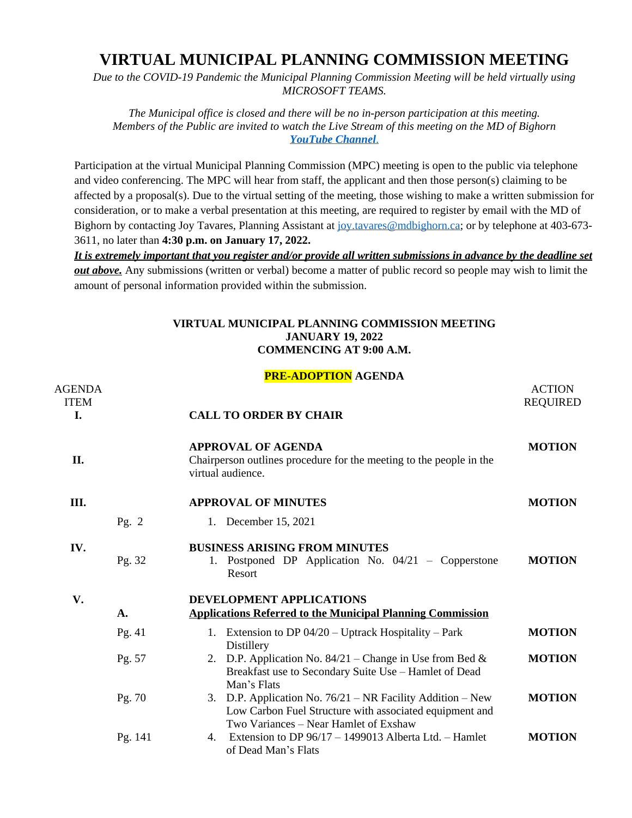## **VIRTUAL MUNICIPAL PLANNING COMMISSION MEETING**

*Due to the COVID-19 Pandemic the Municipal Planning Commission Meeting will be held virtually using MICROSOFT TEAMS.*

*The Municipal office is closed and there will be no in-person participation at this meeting. Members of the Public are invited to watch the Live Stream of this meeting on the MD of Bighorn [YouTube Channel](https://youtu.be/Y0_viVfoqHU)*[.](https://youtu.be/Y0_viVfoqHU)

Participation at the virtual Municipal Planning Commission (MPC) meeting is open to the public via telephone and video conferencing. The MPC will hear from staff, the applicant and then those person(s) claiming to be affected by a proposal(s). Due to the virtual setting of the meeting, those wishing to make a written submission for consideration, or to make a verbal presentation at this meeting, are required to register by email with the MD of Bighorn by contacting Joy Tavares, Planning Assistant at [joy.tavares@mdbighorn.ca;](mailto:joy.tavares@mdbighorn.ca) or by telephone at 403-673-3611, no later than **4:30 p.m. on January 17, 2022.**

*It is extremely important that you register and/or provide all written submissions in advance by the deadline set out above.* Any submissions (written or verbal) become a matter of public record so people may wish to limit the amount of personal information provided within the submission.

## **VIRTUAL MUNICIPAL PLANNING COMMISSION MEETING JANUARY 19, 2022 COMMENCING AT 9:00 A.M.**

## **PRE-ADOPTION AGENDA**

| <b>AGENDA</b><br><b>ITEM</b> |         |                                                                                                                                                                     | <b>ACTION</b><br><b>REQUIRED</b> |
|------------------------------|---------|---------------------------------------------------------------------------------------------------------------------------------------------------------------------|----------------------------------|
| L.                           |         | <b>CALL TO ORDER BY CHAIR</b>                                                                                                                                       |                                  |
| II.                          |         | <b>APPROVAL OF AGENDA</b><br>Chairperson outlines procedure for the meeting to the people in the<br>virtual audience.                                               | <b>MOTION</b>                    |
| Ш.                           |         | <b>APPROVAL OF MINUTES</b>                                                                                                                                          | <b>MOTION</b>                    |
|                              | Pg. $2$ | 1. December 15, 2021                                                                                                                                                |                                  |
| IV.                          | Pg. 32  | <b>BUSINESS ARISING FROM MINUTES</b><br>1. Postponed DP Application No. 04/21 – Copperstone<br>Resort                                                               | <b>MOTION</b>                    |
| V.                           |         | DEVELOPMENT APPLICATIONS                                                                                                                                            |                                  |
|                              | A.      | <b>Applications Referred to the Municipal Planning Commission</b>                                                                                                   |                                  |
|                              | Pg. 41  | 1. Extension to DP 04/20 – Uptrack Hospitality – Park<br>Distillery                                                                                                 | <b>MOTION</b>                    |
|                              | Pg. 57  | D.P. Application No. $84/21$ – Change in Use from Bed &<br>2.<br>Breakfast use to Secondary Suite Use - Hamlet of Dead<br>Man's Flats                               | <b>MOTION</b>                    |
|                              | Pg. 70  | D.P. Application No. $76/21$ – NR Facility Addition – New<br>3.<br>Low Carbon Fuel Structure with associated equipment and<br>Two Variances – Near Hamlet of Exshaw | <b>MOTION</b>                    |
|                              | Pg. 141 | Extension to DP 96/17 - 1499013 Alberta Ltd. - Hamlet<br>4.<br>of Dead Man's Flats                                                                                  | <b>MOTION</b>                    |